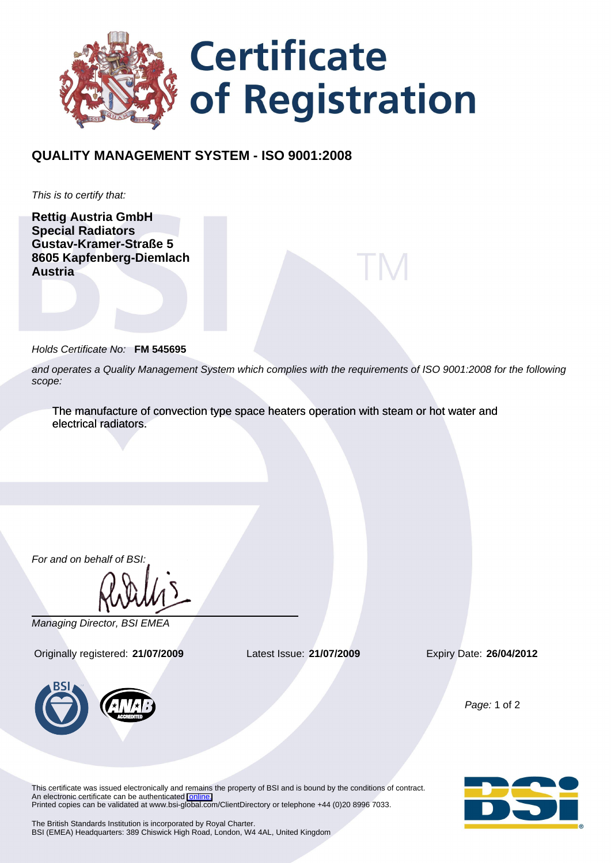

## **QUALITY MANAGEMENT SYSTEM - ISO 9001:2008**

This is to certify that:

**Rettig Austria GmbH Special Radiators Gustav-Kramer-Straße 5 8605 Kapfenberg-Diemlach Austria**

Holds Certificate No: **FM 545695**

and operates a Quality Management System which complies with the requirements of ISO 9001:2008 for the following scope:

The manufacture of convection type space heaters operation with steam or hot water and electrical radiators.

For and on behalf of BSI:

Managing Director, BSI EMEA

Originally registered: **21/07/2009** Latest Issue: **21/07/2009** Expiry Date: **26/04/2012**



Page: 1 of 2

This certificate was issued electronically and remains the property of BSI and is bound by the conditions of contract. An electronic certificate can be authenticated [online.](https://services.bsi-global.com/ecert/default.asp?certnumber=FM+545695&crdate=21%2F07%2F2009&certtemplate=cemea_en) Printed copies can be validated at www.bsi-global.com/ClientDirectory or telephone +44 (0)20 8996 7033.



The British Standards Institution is incorporated by Royal Charter. BSI (EMEA) Headquarters: 389 Chiswick High Road, London, W4 4AL, United Kingdom